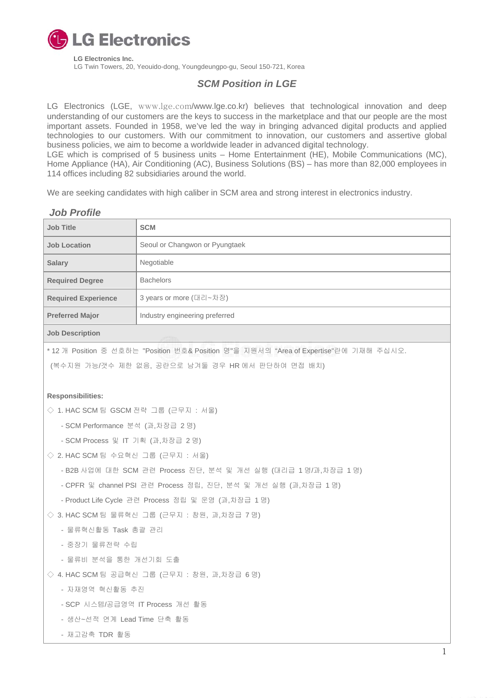

 **LG Electronics Inc.**  LG Twin Towers, 20, Yeouido-dong, Youngdeungpo-gu, Seoul 150-721, Korea

# *SCM Position in LGE*

LG Electronics (LGE, [www.lge.com](http://www.lge.com/)/www.lge.co.kr) believes that technological innovation and deep understanding of our customers are the keys to success in the marketplace and that our people are the most important assets. Founded in 1958, we've led the way in bringing advanced digital products and applied technologies to our customers. With our commitment to innovation, our customers and assertive global business policies, we aim to become a worldwide leader in advanced digital technology. LGE which is comprised of 5 business units – Home Entertainment (HE), Mobile Communications (MC), Home Appliance (HA), Air Conditioning (AC), Business Solutions (BS) – has more than 82,000 employees in 114 offices including 82 subsidiaries around the world.

We are seeking candidates with high caliber in SCM area and strong interest in electronics industry.

| <b>JOD Profile</b>         |                                |
|----------------------------|--------------------------------|
| Job Title                  | <b>SCM</b>                     |
| <b>Job Location</b>        | Seoul or Changwon or Pyungtaek |
| <b>Salary</b>              | Negotiable                     |
| <b>Required Degree</b>     | <b>Bachelors</b>               |
| <b>Required Experience</b> | 3 years or more (대리~차장)        |
| <b>Preferred Major</b>     | Industry engineering preferred |
|                            |                                |

## *Job Profile*

**Job Description**

\* 12 개 Position 중 선호하는 "Position 번호& Position 명"을 지원서의 "Area of Expertise"란에 기재해 주십시오.

(복수지원 가능/갯수 제한 없음, 공란으로 남겨둘 경우 HR 에서 판단하여 면접 배치)

## **Responsibilities:**

◇ 1. HAC SCM 팀 GSCM 전략 그룹 (근무지 : 서울)

- SCM Performance 분석 (과,차장급 2 명)

- SCM Process 및 IT 기획 (과,차장급 2 명)
- ◇ 2. HAC SCM 팀 수요혁신 그룹 (근무지 : 서울)
	- B2B 사업에 대한 SCM 관련 Process 진단, 분석 및 개선 실행 (대리급 1 명/과,차장급 1 명)
	- CPFR 및 channel PSI 관련 Process 정립, 진단, 분석 및 개선 실행 (과,차장급 1 명)

- Product Life Cycle 관련 Process 정립 및 운영 (과,차장급 1 명)

◇ 3. HAC SCM 팀 물류혁신 그룹 (근무지 : 창원, 과,차장급 7 명)

- 물류혁신활동 Task 총괄 관리
- 중장기 물류전략 수립
- 물류비 분석을 통한 개선기회 도출
- ◇ 4. HAC SCM 팀 공급혁신 그룹 (근무지 : 창원, 과,차장급 6 명)
	- 자재영역 혁신활동 추진
	- SCP 시스템/공급영역 IT Process 개선 활동
	- 생산~선적 연계 Lead Time 단축 활동
	- 재고감축 TDR 활동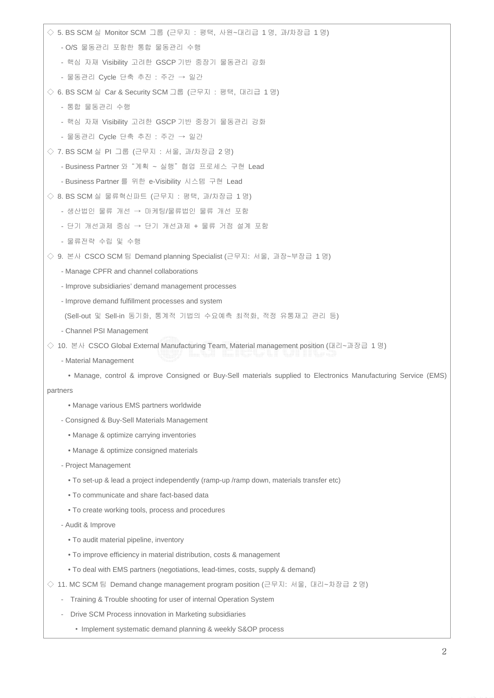| ◇ 5. BS SCM 실 Monitor SCM 그룹 (근무지 : 평택, 사원~대리급 1명, 과/차장급 1명)                                                    |
|-----------------------------------------------------------------------------------------------------------------|
| - O/S 물동관리 포함한 통합 물동관리 수행                                                                                       |
| - 핵심 자재 Visibility 고려한 GSCP 기반 중장기 물동관리 강화                                                                      |
| - 물동관리 Cycle 단축 추진 : 주간 → 일간                                                                                    |
| ◇ 6. BS SCM 실 Car & Security SCM 그룹 (근무지 : 평택, 대리급 1명)                                                          |
| - 통합 물동관리 수행                                                                                                    |
| - 핵심 자재 Visibility 고려한 GSCP 기반 중장기 물동관리 강화                                                                      |
| - 물동관리 Cycle 단축 추진 : 주간 → 일간                                                                                    |
| ◇ 7. BS SCM 실 PI 그룹 (근무지 : 서울, 과/차장급 2명)                                                                        |
| - Business Partner 와 "계획 ~ 실행" 협업 프로세스 구현 Lead                                                                  |
| - Business Partner 를 위한 e-Visibility 시스템 구현 Lead                                                                |
| ◇ 8. BS SCM 실 물류혁신파트 (근무지 : 평택, 과/차장급 1명)                                                                       |
| - 생산법인 물류 개선 → 마케팅/물류법인 물류 개선 포함                                                                                |
| - 단기 개선과제 중심 → 단기 개선과제 + 물류 거점 설계 포함                                                                            |
| - 물류전략 수립 및 수행                                                                                                  |
| ◇ 9. 본사 CSCO SCM 팀 Demand planning Specialist (근무지: 서울, 과장~부장급 1명)                                              |
| - Manage CPFR and channel collaborations                                                                        |
| - Improve subsidiaries' demand management processes                                                             |
| - Improve demand fulfillment processes and system                                                               |
| (Sell-out 및 Sell-in 동기화, 통계적 기법의 수요예측 최적화, 적정 유통재고 관리 등)                                                        |
| - Channel PSI Management                                                                                        |
| ◇ 10. 본사 CSCO Global External Manufacturing Team, Material management position (대리~과장급 1명)                      |
| - Material Management                                                                                           |
| • Manage, control & improve Consigned or Buy-Sell materials supplied to Electronics Manufacturing Service (EMS) |
| partners                                                                                                        |
| • Manage various EMS partners worldwide                                                                         |
| - Consigned & Buy-Sell Materials Management                                                                     |
| • Manage & optimize carrying inventories                                                                        |
| • Manage & optimize consigned materials                                                                         |
| - Project Management                                                                                            |
| . To set-up & lead a project independently (ramp-up /ramp down, materials transfer etc)                         |
| . To communicate and share fact-based data                                                                      |
| . To create working tools, process and procedures                                                               |
| - Audit & Improve                                                                                               |
| . To audit material pipeline, inventory                                                                         |
| • To improve efficiency in material distribution, costs & management                                            |
| • To deal with EMS partners (negotiations, lead-times, costs, supply & demand)                                  |
| 11. MC SCM 팀 Demand change management program position (근무지: 서울, 대리~차장급 2명)<br>◇                                |
| Training & Trouble shooting for user of internal Operation System<br>$\overline{\phantom{m}}$                   |
| Drive SCM Process innovation in Marketing subsidiaries<br>$\overline{\phantom{0}}$                              |
| • Implement systematic demand planning & weekly S&OP process                                                    |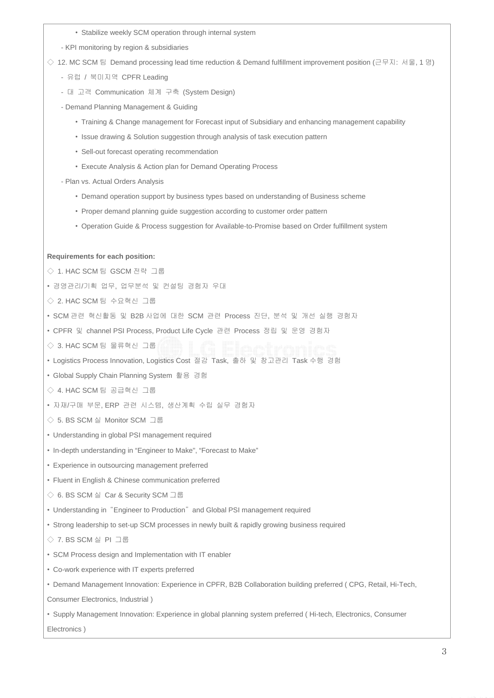- Stabilize weekly SCM operation through internal system
- KPI monitoring by region & subsidiaries

 $\Diamond$  12. MC SCM 팀 Demand processing lead time reduction & Demand fulfillment improvement position (근무지: 서울, 1 명)

- 유럽 / 북미지역 CPFR Leading
- 대 고객 Communication 체계 구축 (System Design)
- Demand Planning Management & Guiding
	- Training & Change management for Forecast input of Subsidiary and enhancing management capability
	- Issue drawing & Solution suggestion through analysis of task execution pattern
	- Sell-out forecast operating recommendation
	- Execute Analysis & Action plan for Demand Operating Process
- Plan vs. Actual Orders Analysis
	- Demand operation support by business types based on understanding of Business scheme
	- Proper demand planning guide suggestion according to customer order pattern
	- Operation Guide & Process suggestion for Available-to-Promise based on Order fulfillment system

### **Requirements for each position:**

- ◇ 1. HAC SCM 팀 GSCM 전략 그룹
- 경영관리/기획 업무, 업무분석 및 컨설팅 경험자 우대
- ◇ 2. HAC SCM 팀 수요혁신 그룹
- SCM 관련 혁신활동 및 B2B 사업에 대한 SCM 관련 Process 진단, 분석 및 개선 실행 경험자
- CPFR 및 channel PSI Process, Product Life Cycle 관련 Process 정립 및 운영 경험자
- ◇ 3. HAC SCM 팀 물류혁신 그룹
- Logistics Process Innovation, Logistics Cost 절감 Task, 출하 및 창고관리 Task 수행 경험
- Global Supply Chain Planning System 활용 경험
- ◇ 4. HAC SCM 팀 공급혁신 그룹
- 자재/구매 부문, ERP 관련 시스템, 생산계획 수립 실무 경험자
- ◇ 5. BS SCM 실 Monitor SCM 그룹
- Understanding in global PSI management required
- In-depth understanding in "Engineer to Make", "Forecast to Make"
- Experience in outsourcing management preferred
- Fluent in English & Chinese communication preferred
- ◇ 6. BS SCM 실 Car & Security SCM 그룹
- Understanding in "Engineer to Production" and Global PSI management required
- Strong leadership to set-up SCM processes in newly built & rapidly growing business required
- ◇ 7. BS SCM 실 PI 그룹
- SCM Process design and Implementation with IT enabler
- Co-work experience with IT experts preferred
- Demand Management Innovation: Experience in CPFR, B2B Collaboration building preferred ( CPG, Retail, Hi-Tech,

Consumer Electronics, Industrial )

• Supply Management Innovation: Experience in global planning system preferred ( Hi-tech, Electronics, Consumer Electronics )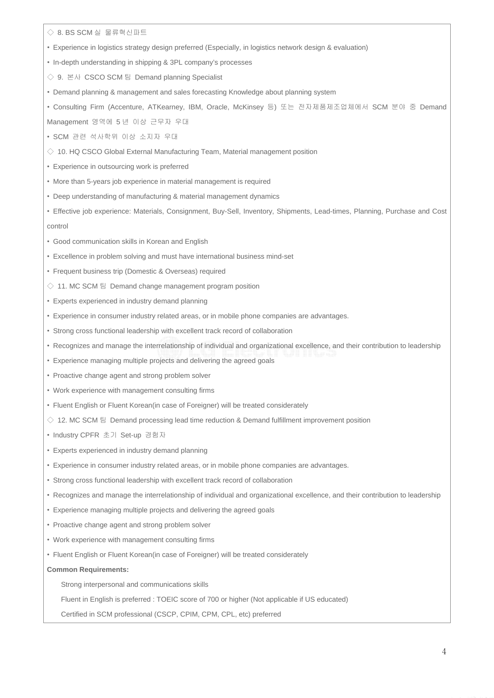◇ 8. BS SCM 실 물류혁신파트

- Experience in logistics strategy design preferred (Especially, in logistics network design & evaluation)
- In-depth understanding in shipping & 3PL company's processes
- ◇ 9. 본사 CSCO SCM 팀 Demand planning Specialist
- Demand planning & management and sales forecasting Knowledge about planning system
- Consulting Firm (Accenture, ATKearney, IBM, Oracle, McKinsey 등) 또는 전자제품제조업체에서 SCM 분야 중 Demand
- Management 영역에 5 년 이상 근무자 우대
- SCM 관련 석사학위 이상 소지자 우대
- $\Diamond$  10. HQ CSCO Global External Manufacturing Team, Material management position
- Experience in outsourcing work is preferred
- More than 5-years job experience in material management is required
- Deep understanding of manufacturing & material management dynamics
- Effective job experience: Materials, Consignment, Buy-Sell, Inventory, Shipments, Lead-times, Planning, Purchase and Cost control
- Good communication skills in Korean and English
- Excellence in problem solving and must have international business mind-set
- Frequent business trip (Domestic & Overseas) required
- $\Diamond$  11. MC SCM 팀 Demand change management program position
- Experts experienced in industry demand planning
- Experience in consumer industry related areas, or in mobile phone companies are advantages.
- Strong cross functional leadership with excellent track record of collaboration
- Recognizes and manage the interrelationship of individual and organizational excellence, and their contribution to leadership
- Experience managing multiple projects and delivering the agreed goals
- Proactive change agent and strong problem solver
- Work experience with management consulting firms
- Fluent English or Fluent Korean(in case of Foreigner) will be treated considerately
- $\Diamond$  12. MC SCM 팀 Demand processing lead time reduction & Demand fulfillment improvement position
- Industry CPFR 초기 Set-up 경험자
- Experts experienced in industry demand planning
- Experience in consumer industry related areas, or in mobile phone companies are advantages.
- Strong cross functional leadership with excellent track record of collaboration
- Recognizes and manage the interrelationship of individual and organizational excellence, and their contribution to leadership
- Experience managing multiple projects and delivering the agreed goals
- Proactive change agent and strong problem solver
- Work experience with management consulting firms
- Fluent English or Fluent Korean(in case of Foreigner) will be treated considerately

### **Common Requirements:**

Strong interpersonal and communications skills

Fluent in English is preferred : TOEIC score of 700 or higher (Not applicable if US educated)

Certified in SCM professional (CSCP, CPIM, CPM, CPL, etc) preferred